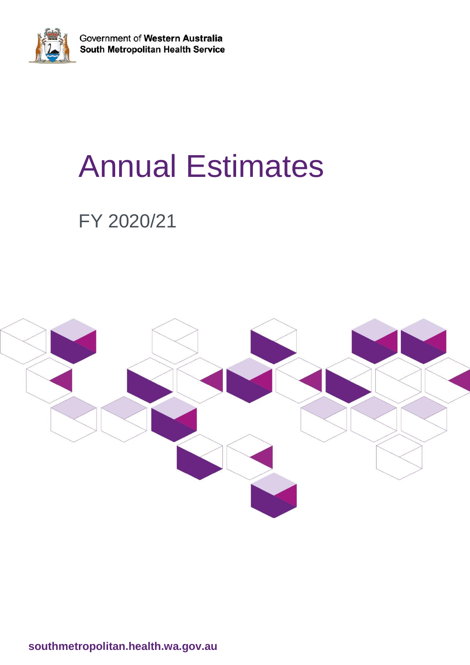

Government of Western Australia South Metropolitan Health Service

# Annual Estimates

## FY 2020/21



**southmetropolitan.health.wa.gov.au**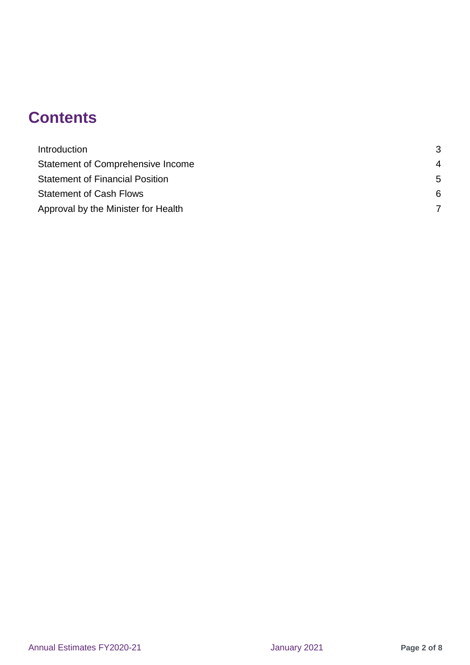## **Contents**

<span id="page-1-0"></span>

| Introduction                           | 3  |
|----------------------------------------|----|
| Statement of Comprehensive Income      | 4  |
| <b>Statement of Financial Position</b> | .5 |
| <b>Statement of Cash Flows</b>         | 6  |
| Approval by the Minister for Health    |    |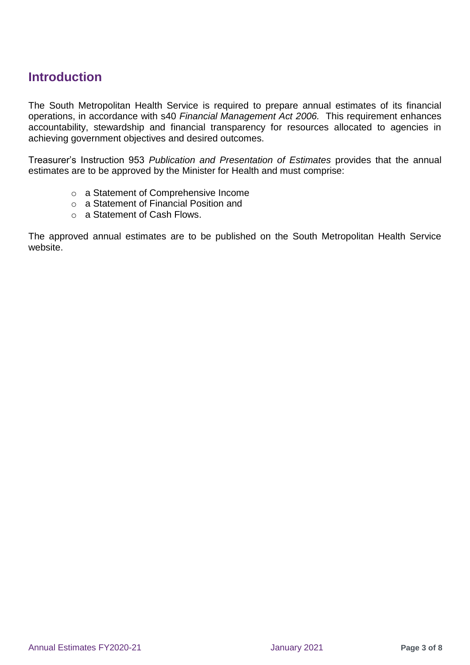#### **Introduction**

The South Metropolitan Health Service is required to prepare annual estimates of its financial operations, in accordance with s40 *Financial Management Act 2006.* This requirement enhances accountability, stewardship and financial transparency for resources allocated to agencies in achieving government objectives and desired outcomes.

Treasurer's Instruction 953 *Publication and Presentation of Estimates* provides that the annual estimates are to be approved by the Minister for Health and must comprise:

- o a Statement of Comprehensive Income
- o a Statement of Financial Position and
- o a Statement of Cash Flows.

The approved annual estimates are to be published on the South Metropolitan Health Service website.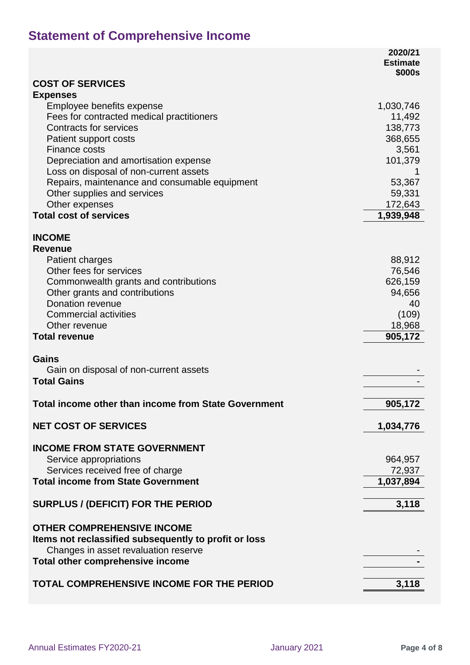## **Statement of Comprehensive Income**

|                                                                              | 2020/21<br><b>Estimate</b> |
|------------------------------------------------------------------------------|----------------------------|
| <b>COST OF SERVICES</b>                                                      | \$000s                     |
| <b>Expenses</b>                                                              |                            |
| Employee benefits expense                                                    | 1,030,746                  |
| Fees for contracted medical practitioners                                    | 11,492                     |
| <b>Contracts for services</b>                                                | 138,773                    |
| Patient support costs                                                        | 368,655                    |
| <b>Finance costs</b>                                                         | 3,561                      |
| Depreciation and amortisation expense                                        | 101,379                    |
| Loss on disposal of non-current assets                                       |                            |
| Repairs, maintenance and consumable equipment<br>Other supplies and services | 53,367<br>59,331           |
| Other expenses                                                               | 172,643                    |
| <b>Total cost of services</b>                                                | 1,939,948                  |
|                                                                              |                            |
| <b>INCOME</b>                                                                |                            |
| <b>Revenue</b>                                                               |                            |
| <b>Patient charges</b>                                                       | 88,912                     |
| Other fees for services                                                      | 76,546                     |
| Commonwealth grants and contributions                                        | 626,159                    |
| Other grants and contributions                                               | 94,656                     |
| Donation revenue                                                             | 40                         |
| <b>Commercial activities</b>                                                 | (109)                      |
| Other revenue                                                                | 18,968                     |
| <b>Total revenue</b>                                                         | 905,172                    |
| <b>Gains</b>                                                                 |                            |
| Gain on disposal of non-current assets                                       |                            |
| <b>Total Gains</b>                                                           |                            |
|                                                                              |                            |
| <b>Total income other than income from State Government</b>                  | 905,172                    |
| <b>NET COST OF SERVICES</b>                                                  | 1,034,776                  |
|                                                                              |                            |
| <b>INCOME FROM STATE GOVERNMENT</b>                                          |                            |
| Service appropriations                                                       | 964,957                    |
| Services received free of charge                                             | 72,937                     |
| <b>Total income from State Government</b>                                    | 1,037,894                  |
| <b>SURPLUS / (DEFICIT) FOR THE PERIOD</b>                                    | 3,118                      |
|                                                                              |                            |
| <b>OTHER COMPREHENSIVE INCOME</b>                                            |                            |
| Items not reclassified subsequently to profit or loss                        |                            |
| Changes in asset revaluation reserve                                         |                            |
| Total other comprehensive income                                             |                            |
| TOTAL COMPREHENSIVE INCOME FOR THE PERIOD                                    | 3,118                      |
|                                                                              |                            |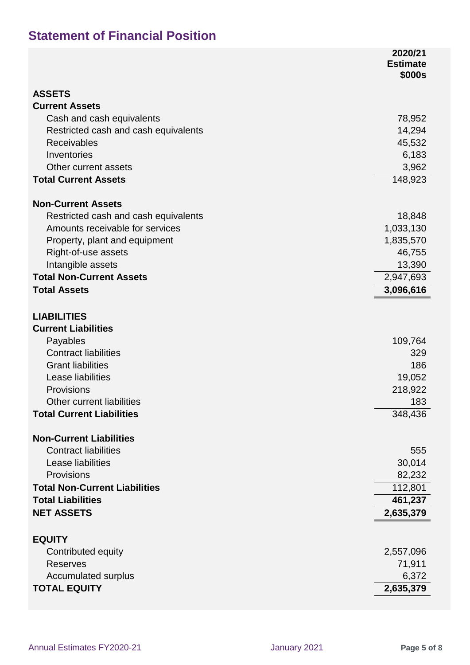### **Statement of Financial Position**

|                                      | 2020/21<br><b>Estimate</b> |
|--------------------------------------|----------------------------|
|                                      | \$000s                     |
| <b>ASSETS</b>                        |                            |
| <b>Current Assets</b>                |                            |
| Cash and cash equivalents            | 78,952                     |
| Restricted cash and cash equivalents | 14,294                     |
| <b>Receivables</b>                   | 45,532                     |
| Inventories<br>Other current assets  | 6,183                      |
| <b>Total Current Assets</b>          | 3,962<br>148,923           |
|                                      |                            |
| <b>Non-Current Assets</b>            |                            |
| Restricted cash and cash equivalents | 18,848                     |
| Amounts receivable for services      | 1,033,130                  |
| Property, plant and equipment        | 1,835,570                  |
| Right-of-use assets                  | 46,755                     |
| Intangible assets                    | 13,390                     |
| <b>Total Non-Current Assets</b>      | 2,947,693                  |
| <b>Total Assets</b>                  | 3,096,616                  |
| <b>LIABILITIES</b>                   |                            |
| <b>Current Liabilities</b>           |                            |
| Payables                             | 109,764                    |
| <b>Contract liabilities</b>          | 329                        |
| <b>Grant liabilities</b>             | 186                        |
| Lease liabilities                    | 19,052                     |
| Provisions                           | 218,922                    |
| Other current liabilities            | 183                        |
| <b>Total Current Liabilities</b>     | 348,436                    |
| <b>Non-Current Liabilities</b>       |                            |
| <b>Contract liabilities</b>          | 555                        |
| Lease liabilities                    | 30,014                     |
| Provisions                           | 82,232                     |
| <b>Total Non-Current Liabilities</b> | 112,801                    |
| <b>Total Liabilities</b>             | 461,237                    |
| <b>NET ASSETS</b>                    | 2,635,379                  |
|                                      |                            |
| <b>EQUITY</b>                        |                            |
| Contributed equity                   | 2,557,096                  |
| <b>Reserves</b>                      | 71,911                     |
| <b>Accumulated surplus</b>           | 6,372                      |
| <b>TOTAL EQUITY</b>                  | 2,635,379                  |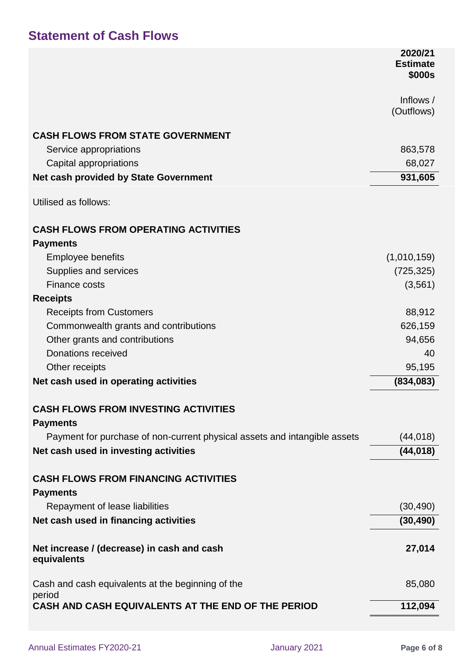#### **Statement of Cash Flows**

|                                                                           | 2020/21<br><b>Estimate</b><br>\$000s |
|---------------------------------------------------------------------------|--------------------------------------|
|                                                                           | Inflows /<br>(Outflows)              |
| <b>CASH FLOWS FROM STATE GOVERNMENT</b>                                   |                                      |
| Service appropriations                                                    | 863,578                              |
| Capital appropriations                                                    | 68,027                               |
| <b>Net cash provided by State Government</b>                              | 931,605                              |
| Utilised as follows:                                                      |                                      |
| <b>CASH FLOWS FROM OPERATING ACTIVITIES</b>                               |                                      |
| <b>Payments</b>                                                           |                                      |
| <b>Employee benefits</b>                                                  | (1,010,159)                          |
| Supplies and services                                                     | (725, 325)                           |
| <b>Finance costs</b>                                                      | (3, 561)                             |
| <b>Receipts</b>                                                           |                                      |
| <b>Receipts from Customers</b>                                            | 88,912                               |
| Commonwealth grants and contributions                                     | 626,159                              |
| Other grants and contributions                                            | 94,656                               |
| <b>Donations received</b>                                                 | 40                                   |
| Other receipts                                                            | 95,195                               |
| Net cash used in operating activities                                     | (834,083)                            |
| <b>CASH FLOWS FROM INVESTING ACTIVITIES</b><br><b>Payments</b>            |                                      |
| Payment for purchase of non-current physical assets and intangible assets | (44, 018)                            |
| Net cash used in investing activities                                     | (44, 018)                            |
| <b>CASH FLOWS FROM FINANCING ACTIVITIES</b><br><b>Payments</b>            |                                      |
| Repayment of lease liabilities                                            | (30, 490)                            |
| Net cash used in financing activities                                     | (30, 490)                            |
| Net increase / (decrease) in cash and cash<br>equivalents                 | 27,014                               |
| Cash and cash equivalents at the beginning of the                         | 85,080                               |
| period<br>CASH AND CASH EQUIVALENTS AT THE END OF THE PERIOD              | 112,094                              |
|                                                                           |                                      |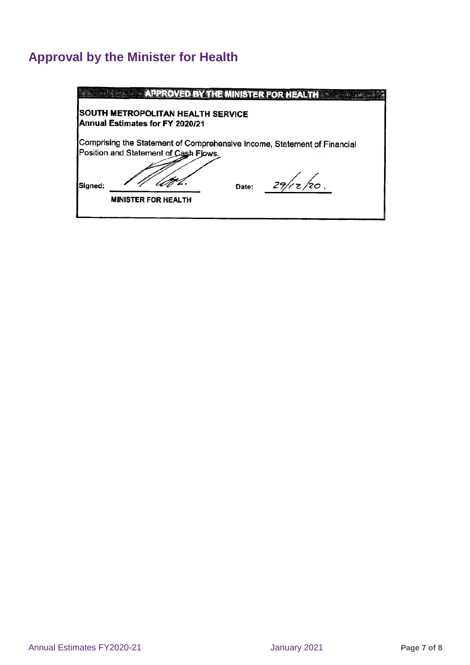## **Approval by the Minister for Health**

|         |                                                                       | <b>APPROVED BY THE MINISTER FOR HEALTH AND REALTH</b>                    |
|---------|-----------------------------------------------------------------------|--------------------------------------------------------------------------|
|         | ISOUTH METROPOLITAN HEALTH SERVICE<br>Annual Estimates for FY 2020/21 |                                                                          |
|         | Position and Statement of Cash Flows.                                 | Comprising the Statement of Comprehensive Income, Statement of Financial |
| Signed: | <b>MINISTER FOR HEALTH</b>                                            | 29/rz/20.<br>Date:                                                       |